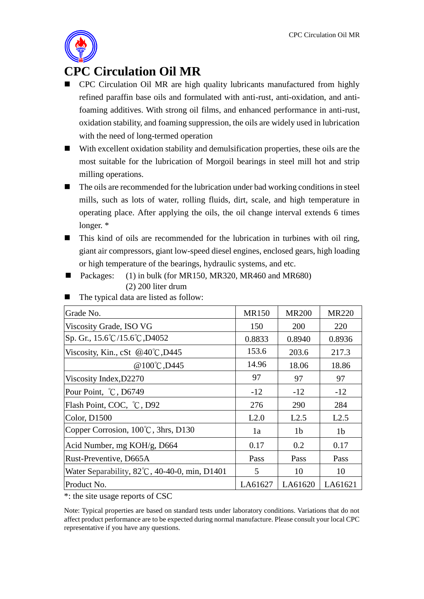

## **CPC Circulation Oil MR**

- **CPC** Circulation Oil MR are high quality lubricants manufactured from highly refined paraffin base oils and formulated with anti-rust, anti-oxidation, and antifoaming additives. With strong oil films, and enhanced performance in anti-rust, oxidation stability, and foaming suppression, the oils are widely used in lubrication with the need of long-termed operation
- With excellent oxidation stability and demulsification properties, these oils are the most suitable for the lubrication of Morgoil bearings in steel mill hot and strip milling operations.
- $\blacksquare$  The oils are recommended for the lubrication under bad working conditions in steel mills, such as lots of water, rolling fluids, dirt, scale, and high temperature in operating place. After applying the oils, the oil change interval extends 6 times longer. \*
- This kind of oils are recommended for the lubrication in turbines with oil ring, giant air compressors, giant low-speed diesel engines, enclosed gears, high loading or high temperature of the bearings, hydraulic systems, and etc.
- Packages:  $(1)$  in bulk (for MR150, MR320, MR460 and MR680) (2) 200 liter drum

| Grade No.                                               | <b>MR150</b> | <b>MR200</b>   | <b>MR220</b>   |
|---------------------------------------------------------|--------------|----------------|----------------|
| Viscosity Grade, ISO VG                                 | 150          | 200            | 220            |
| Sp. Gr., 15.6°C/15.6°C, D4052                           | 0.8833       | 0.8940         | 0.8936         |
| Viscosity, Kin., cSt @40°C, D445                        | 153.6        | 203.6          | 217.3          |
| @100°C, D445                                            | 14.96        | 18.06          | 18.86          |
| Viscosity Index, D2270                                  | 97           | 97             | 97             |
| Pour Point, °C, D6749                                   | $-12$        | $-12$          | $-12$          |
| Flash Point, COC, °C, D92                               | 276          | 290            | 284            |
| Color, D1500                                            | L2.0         | L2.5           | L2.5           |
| Copper Corrosion, 100°C, 3hrs, D130                     | 1a           | 1 <sub>b</sub> | 1 <sub>b</sub> |
| Acid Number, mg KOH/g, D664                             | 0.17         | 0.2            | 0.17           |
| Rust-Preventive, D665A                                  | Pass         | Pass           | Pass           |
| Water Separability, $82^{\circ}$ C, 40-40-0, min, D1401 | 5            | 10             | 10             |
| Product No.                                             | LA61627      | LA61620        | LA61621        |
|                                                         |              |                |                |

■ The typical data are listed as follow:

\*: the site usage reports of CSC

Note: Typical properties are based on standard tests under laboratory conditions. Variations that do not affect product performance are to be expected during normal manufacture. Please consult your local CPC representative if you have any questions.